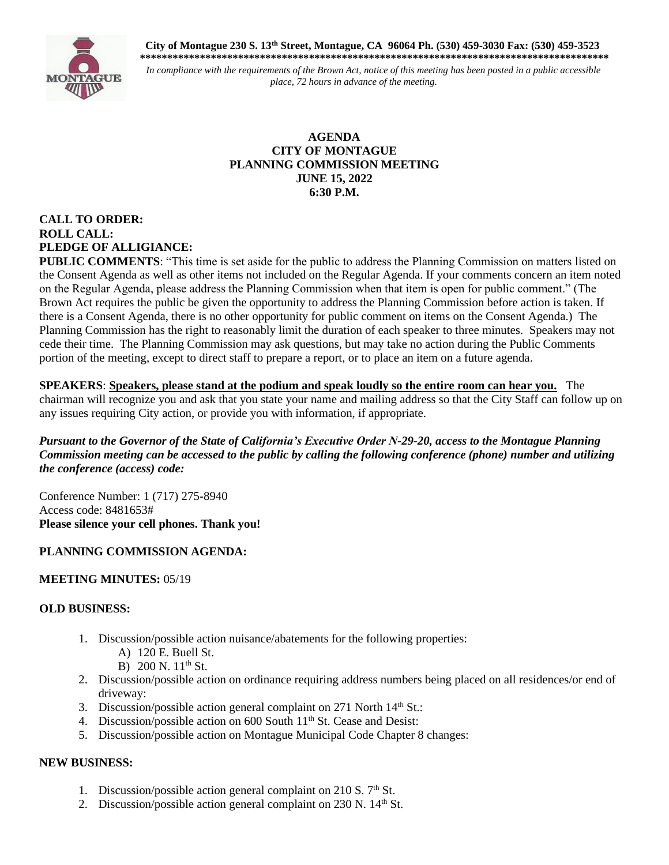**City of Montague 230 S. 13th Street, Montague, CA 96064 Ph. (530) 459-3030 Fax: (530) 459-3523 \*\*\*\*\*\*\*\*\*\*\*\*\*\*\*\*\*\*\*\*\*\*\*\*\*\*\*\*\*\*\*\*\*\*\*\*\*\*\*\*\*\*\*\*\*\*\*\*\*\*\*\*\*\*\*\*\*\*\*\*\*\*\*\*\*\*\*\*\*\*\*\*\*\*\*\*\*\*\*\*\*\*\*\*\*\***



*In compliance with the requirements of the Brown Act, notice of this meeting has been posted in a public accessible place, 72 hours in advance of the meeting.*

#### **AGENDA CITY OF MONTAGUE PLANNING COMMISSION MEETING JUNE 15, 2022 6:30 P.M.**

# **CALL TO ORDER: ROLL CALL: PLEDGE OF ALLIGIANCE:**

**PUBLIC COMMENTS:** "This time is set aside for the public to address the Planning Commission on matters listed on the Consent Agenda as well as other items not included on the Regular Agenda. If your comments concern an item noted on the Regular Agenda, please address the Planning Commission when that item is open for public comment." (The Brown Act requires the public be given the opportunity to address the Planning Commission before action is taken. If there is a Consent Agenda, there is no other opportunity for public comment on items on the Consent Agenda.) The Planning Commission has the right to reasonably limit the duration of each speaker to three minutes. Speakers may not cede their time. The Planning Commission may ask questions, but may take no action during the Public Comments portion of the meeting, except to direct staff to prepare a report, or to place an item on a future agenda.

**SPEAKERS**: **Speakers, please stand at the podium and speak loudly so the entire room can hear you.** The chairman will recognize you and ask that you state your name and mailing address so that the City Staff can follow up on any issues requiring City action, or provide you with information, if appropriate.

*Pursuant to the Governor of the State of California's Executive Order N-29-20, access to the Montague Planning Commission meeting can be accessed to the public by calling the following conference (phone) number and utilizing the conference (access) code:*

Conference Number: 1 (717) 275-8940 Access code: 8481653# **Please silence your cell phones. Thank you!** 

### **PLANNING COMMISSION AGENDA:**

### **MEETING MINUTES:** 05/19

### **OLD BUSINESS:**

- 1. Discussion/possible action nuisance/abatements for the following properties:
	- A) 120 E. Buell St.
	- B) 200 N.  $11^{th}$  St.
- 2. Discussion/possible action on ordinance requiring address numbers being placed on all residences/or end of driveway:
- 3. Discussion/possible action general complaint on 271 North  $14<sup>th</sup>$  St.:
- 4. Discussion/possible action on 600 South 11<sup>th</sup> St. Cease and Desist:
- 5. Discussion/possible action on Montague Municipal Code Chapter 8 changes:

### **NEW BUSINESS:**

- 1. Discussion/possible action general complaint on 210 S.  $7<sup>th</sup>$  St.
- 2. Discussion/possible action general complaint on  $230$  N.  $14<sup>th</sup>$  St.